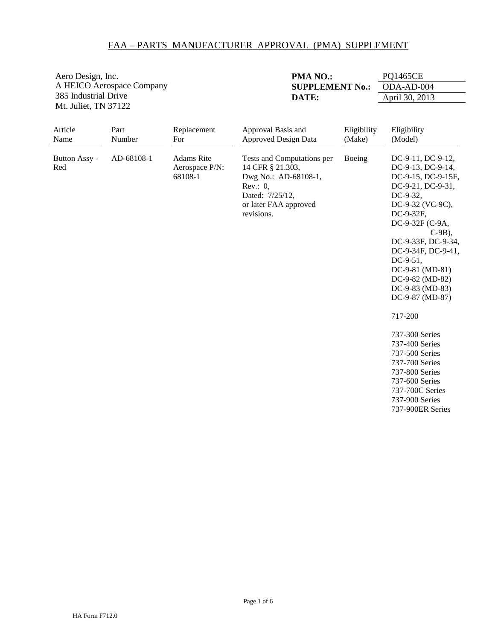Aero Design, Inc. A HEICO Aerospace Company 385 Industrial Drive Mt. Juliet, TN 37122

**PMA NO.:** PQ1465CE **SUPPLEMENT No.: ODA-AD-004 DATE:** April 30, 2013

| Article<br>Name      | Part<br>Number | Replacement<br>For                             | Approval Basis and<br><b>Approved Design Data</b>                                                                                               | Eligibility<br>(Make) | Eligibility<br>(Model)                                                                                                                                                                                                                                                                                                                                                                                                                                            |
|----------------------|----------------|------------------------------------------------|-------------------------------------------------------------------------------------------------------------------------------------------------|-----------------------|-------------------------------------------------------------------------------------------------------------------------------------------------------------------------------------------------------------------------------------------------------------------------------------------------------------------------------------------------------------------------------------------------------------------------------------------------------------------|
| Button Assy -<br>Red | AD-68108-1     | <b>Adams</b> Rite<br>Aerospace P/N:<br>68108-1 | Tests and Computations per<br>14 CFR § 21.303,<br>Dwg No.: AD-68108-1,<br>Rev.: $0$ ,<br>Dated: 7/25/12,<br>or later FAA approved<br>revisions. | Boeing                | DC-9-11, DC-9-12,<br>DC-9-13, DC-9-14,<br>DC-9-15, DC-9-15F,<br>DC-9-21, DC-9-31,<br>DC-9-32,<br>DC-9-32 (VC-9C),<br>DC-9-32F,<br>DC-9-32F (C-9A,<br>$C-9B$ ).<br>DC-9-33F, DC-9-34,<br>DC-9-34F, DC-9-41,<br>$DC-9-51$ ,<br>DC-9-81 (MD-81)<br>DC-9-82 (MD-82)<br>DC-9-83 (MD-83)<br>DC-9-87 (MD-87)<br>717-200<br>737-300 Series<br>737-400 Series<br>737-500 Series<br>737-700 Series<br>737-800 Series<br>737-600 Series<br>737-700C Series<br>737-900 Series |
|                      |                |                                                |                                                                                                                                                 |                       | 737-900ER Series                                                                                                                                                                                                                                                                                                                                                                                                                                                  |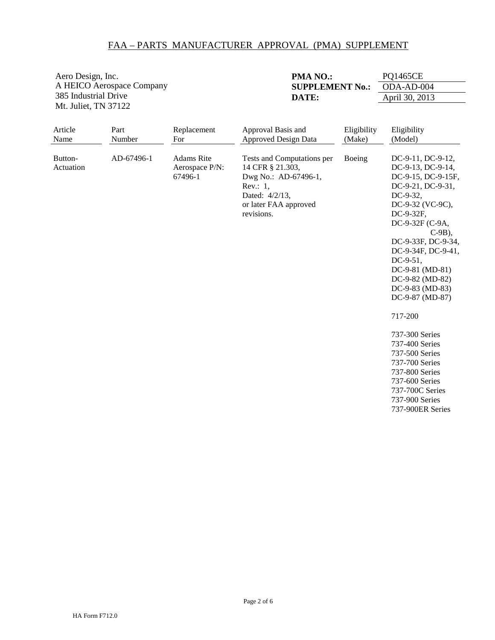Aero Design, Inc. A HEICO Aerospace Company 385 Industrial Drive Mt. Juliet, TN 37122

**PMA NO.:** PQ1465CE **SUPPLEMENT No.: ODA-AD-004 DATE:** April 30, 2013

| Article<br>Name      | Part<br>Number | Replacement<br>For                             | Approval Basis and<br><b>Approved Design Data</b>                                                                                              | Eligibility<br>(Make) | Eligibility<br>(Model)                                                                                                                                                                                                                                                                                                                                                                                                                                            |
|----------------------|----------------|------------------------------------------------|------------------------------------------------------------------------------------------------------------------------------------------------|-----------------------|-------------------------------------------------------------------------------------------------------------------------------------------------------------------------------------------------------------------------------------------------------------------------------------------------------------------------------------------------------------------------------------------------------------------------------------------------------------------|
| Button-<br>Actuation | AD-67496-1     | <b>Adams</b> Rite<br>Aerospace P/N:<br>67496-1 | Tests and Computations per<br>14 CFR § 21.303,<br>Dwg No.: AD-67496-1,<br>Rev.: $1$ ,<br>Dated: 4/2/13,<br>or later FAA approved<br>revisions. | Boeing                | DC-9-11, DC-9-12,<br>DC-9-13, DC-9-14,<br>DC-9-15, DC-9-15F,<br>DC-9-21, DC-9-31,<br>DC-9-32,<br>DC-9-32 (VC-9C),<br>DC-9-32F,<br>DC-9-32F (C-9A,<br>$C-9B$ ),<br>DC-9-33F, DC-9-34,<br>DC-9-34F, DC-9-41,<br>$DC-9-51$ ,<br>DC-9-81 (MD-81)<br>DC-9-82 (MD-82)<br>DC-9-83 (MD-83)<br>DC-9-87 (MD-87)<br>717-200<br>737-300 Series<br>737-400 Series<br>737-500 Series<br>737-700 Series<br>737-800 Series<br>737-600 Series<br>737-700C Series<br>737-900 Series |
|                      |                |                                                |                                                                                                                                                |                       | 737-900ER Series                                                                                                                                                                                                                                                                                                                                                                                                                                                  |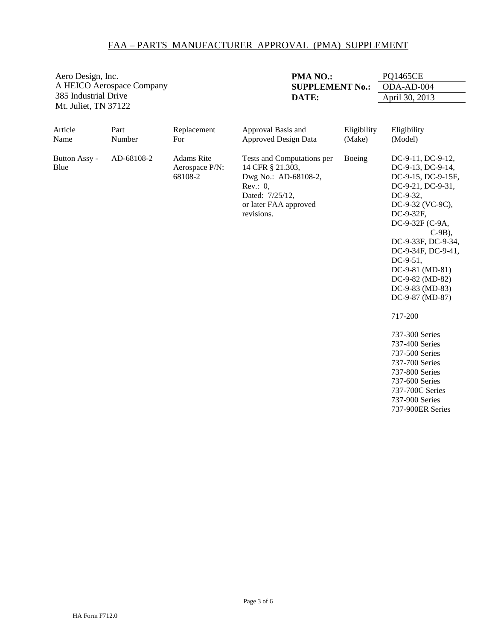Aero Design, Inc. A HEICO Aerospace Company 385 Industrial Drive Mt. Juliet, TN 37122

| PMA NO.:               | <b>PQ1465CE</b> |
|------------------------|-----------------|
| <b>SUPPLEMENT No.:</b> | ODA-AD-004      |
| DATE:                  | April 30, 2013  |

| Article                       | Part                 | Replacement                                           | Approval Basis and                                                                                                                                                             | Eligibility      | Eligibility                                                                                                                                                                                                                                                                                                                                                                                                                                                |
|-------------------------------|----------------------|-------------------------------------------------------|--------------------------------------------------------------------------------------------------------------------------------------------------------------------------------|------------------|------------------------------------------------------------------------------------------------------------------------------------------------------------------------------------------------------------------------------------------------------------------------------------------------------------------------------------------------------------------------------------------------------------------------------------------------------------|
|                               |                      |                                                       |                                                                                                                                                                                |                  |                                                                                                                                                                                                                                                                                                                                                                                                                                                            |
| Name<br>Button Assy -<br>Blue | Number<br>AD-68108-2 | For<br><b>Adams</b> Rite<br>Aerospace P/N:<br>68108-2 | <b>Approved Design Data</b><br>Tests and Computations per<br>14 CFR § 21.303,<br>Dwg No.: AD-68108-2,<br>Rev.: $0$ ,<br>Dated: 7/25/12,<br>or later FAA approved<br>revisions. | (Make)<br>Boeing | (Model)<br>DC-9-11, DC-9-12,<br>DC-9-13, DC-9-14,<br>DC-9-15, DC-9-15F,<br>DC-9-21, DC-9-31,<br>DC-9-32,<br>DC-9-32 (VC-9C),<br>DC-9-32F,<br>DC-9-32F (C-9A,<br>$C-9B$ ),<br>DC-9-33F, DC-9-34,<br>DC-9-34F, DC-9-41,<br>$DC-9-51$ ,<br>DC-9-81 (MD-81)<br>DC-9-82 (MD-82)<br>DC-9-83 (MD-83)<br>DC-9-87 (MD-87)<br>717-200<br>737-300 Series<br>737-400 Series<br>737-500 Series<br>737-700 Series<br>737-800 Series<br>737-600 Series<br>737-700C Series |
|                               |                      |                                                       |                                                                                                                                                                                |                  | 737-900 Series<br>737-900ER Series                                                                                                                                                                                                                                                                                                                                                                                                                         |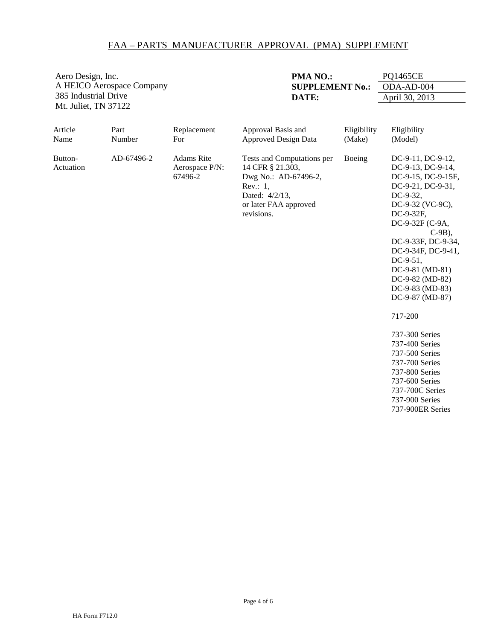Aero Design, Inc. A HEICO Aerospace Company 385 Industrial Drive Mt. Juliet, TN 37122

**PMA NO.:** PQ1465CE **SUPPLEMENT No.: ODA-AD-004 DATE:** April 30, 2013

| Article<br>Name      | Part<br>Number | Replacement<br>For                             | Approval Basis and<br><b>Approved Design Data</b>                                                                                              | Eligibility<br>(Make) | Eligibility<br>(Model)                                                                                                                                                                                                                                                                                                                                                                                                                                            |
|----------------------|----------------|------------------------------------------------|------------------------------------------------------------------------------------------------------------------------------------------------|-----------------------|-------------------------------------------------------------------------------------------------------------------------------------------------------------------------------------------------------------------------------------------------------------------------------------------------------------------------------------------------------------------------------------------------------------------------------------------------------------------|
| Button-<br>Actuation | AD-67496-2     | <b>Adams</b> Rite<br>Aerospace P/N:<br>67496-2 | Tests and Computations per<br>14 CFR § 21.303,<br>Dwg No.: AD-67496-2,<br>Rev.: $1$ ,<br>Dated: 4/2/13,<br>or later FAA approved<br>revisions. | Boeing                | DC-9-11, DC-9-12,<br>DC-9-13, DC-9-14,<br>DC-9-15, DC-9-15F,<br>DC-9-21, DC-9-31,<br>DC-9-32,<br>DC-9-32 (VC-9C),<br>DC-9-32F,<br>DC-9-32F (C-9A,<br>$C-9B$ ),<br>DC-9-33F, DC-9-34,<br>DC-9-34F, DC-9-41,<br>$DC-9-51$ ,<br>DC-9-81 (MD-81)<br>DC-9-82 (MD-82)<br>DC-9-83 (MD-83)<br>DC-9-87 (MD-87)<br>717-200<br>737-300 Series<br>737-400 Series<br>737-500 Series<br>737-700 Series<br>737-800 Series<br>737-600 Series<br>737-700C Series<br>737-900 Series |
|                      |                |                                                |                                                                                                                                                |                       | 737-900ER Series                                                                                                                                                                                                                                                                                                                                                                                                                                                  |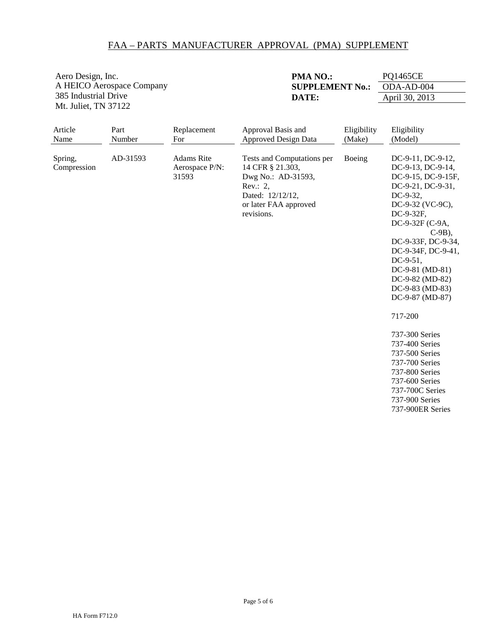Aero Design, Inc. A HEICO Aerospace Company 385 Industrial Drive Mt. Juliet, TN 37122

| <b>PMA NO.:</b>        | <b>PQ1465CE</b> |
|------------------------|-----------------|
| <b>SUPPLEMENT No.:</b> | ODA-AD-004      |
| DATE:                  | April 30, 2013  |

| Article<br>Name        | Part<br>Number | Replacement<br>For                           | Approval Basis and<br><b>Approved Design Data</b>                                                                                           | Eligibility<br>(Make) | Eligibility<br>(Model)                                                                                                                                                                                                                                                                                                                                                                                                                                         |
|------------------------|----------------|----------------------------------------------|---------------------------------------------------------------------------------------------------------------------------------------------|-----------------------|----------------------------------------------------------------------------------------------------------------------------------------------------------------------------------------------------------------------------------------------------------------------------------------------------------------------------------------------------------------------------------------------------------------------------------------------------------------|
| Spring,<br>Compression | AD-31593       | <b>Adams</b> Rite<br>Aerospace P/N:<br>31593 | Tests and Computations per<br>14 CFR § 21.303,<br>Dwg No.: AD-31593,<br>Rev.: 2,<br>Dated: 12/12/12,<br>or later FAA approved<br>revisions. | Boeing                | DC-9-11, DC-9-12,<br>DC-9-13, DC-9-14,<br>DC-9-15, DC-9-15F,<br>DC-9-21, DC-9-31,<br>DC-9-32,<br>DC-9-32 (VC-9C),<br>DC-9-32F,<br>DC-9-32F (C-9A,<br>$C-9B$ ),<br>DC-9-33F, DC-9-34,<br>DC-9-34F, DC-9-41,<br>DC-9-51,<br>DC-9-81 (MD-81)<br>DC-9-82 (MD-82)<br>DC-9-83 (MD-83)<br>DC-9-87 (MD-87)<br>717-200<br>737-300 Series<br>737-400 Series<br>737-500 Series<br>737-700 Series<br>737-800 Series<br>737-600 Series<br>737-700C Series<br>737-900 Series |
|                        |                |                                              |                                                                                                                                             |                       | 737-900ER Series                                                                                                                                                                                                                                                                                                                                                                                                                                               |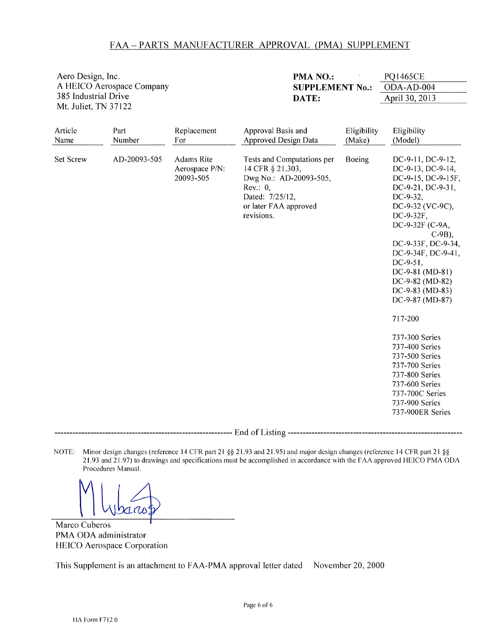| Aero Design, Inc.<br>A HEICO Aerospace Company<br>385 Industrial Drive<br>Mt. Juliet, TN 37122 |                                |                                                                        | PMA NO.:<br><b>SUPPLEMENT No.:</b><br>DATE:                                                                                                                                                         |                                 | <b>PQ1465CE</b><br>ODA-AD-004<br>April 30, 2013                                                                                                                                                                                                                                                                                                                                                                                                                                                                   |
|------------------------------------------------------------------------------------------------|--------------------------------|------------------------------------------------------------------------|-----------------------------------------------------------------------------------------------------------------------------------------------------------------------------------------------------|---------------------------------|-------------------------------------------------------------------------------------------------------------------------------------------------------------------------------------------------------------------------------------------------------------------------------------------------------------------------------------------------------------------------------------------------------------------------------------------------------------------------------------------------------------------|
| Article<br>Name<br>Set Screw                                                                   | Part<br>Number<br>AD-20093-505 | Replacement<br>For<br><b>Adams Rite</b><br>Aerospace P/N:<br>20093-505 | Approval Basis and<br><b>Approved Design Data</b><br>Tests and Computations per<br>14 CFR § 21.303,<br>Dwg No.: AD-20093-505,<br>Rev.: 0,<br>Dated: 7/25/12,<br>or later FAA approved<br>revisions. | Eligibility<br>(Make)<br>Boeing | Eligibility<br>(Model)<br>DC-9-11, DC-9-12,<br>DC-9-13, DC-9-14,<br>DC-9-15, DC-9-15F,<br>DC-9-21, DC-9-31,<br>DC-9-32,<br>DC-9-32 (VC-9C),<br>DC-9-32F,<br>DC-9-32F (C-9A,<br>$C-9B$ ),<br>DC-9-33F, DC-9-34,<br>DC-9-34F, DC-9-41,<br>$DC-9-51$ ,<br>DC-9-81 (MD-81)<br>DC-9-82 (MD-82)<br>$DC-9-83$ (MD-83)<br>DC-9-87 (MD-87)<br>717-200<br>737-300 Series<br>737-400 Series<br>737-500 Series<br>737-700 Series<br>737-800 Series<br>737-600 Series<br>737-700C Series<br>737-900 Series<br>737-900ER Series |

NOTE: Minor design changes (reference 14 CFR part 21 §§ 21.93 and 21.95) and major design changes (reference 14 CFR part 21 §§ 21.93 and 21.97) to drawings and specifications must be accomplished in accordance with the FAA approved HEICO PMA ODA Procedures Manual.

Dario

Marco Cuberos PMA ODA administrator HEICO Aerospace Corporation

This Supplement is an attachment to FAA-PMA approval letter dated November 20, 2000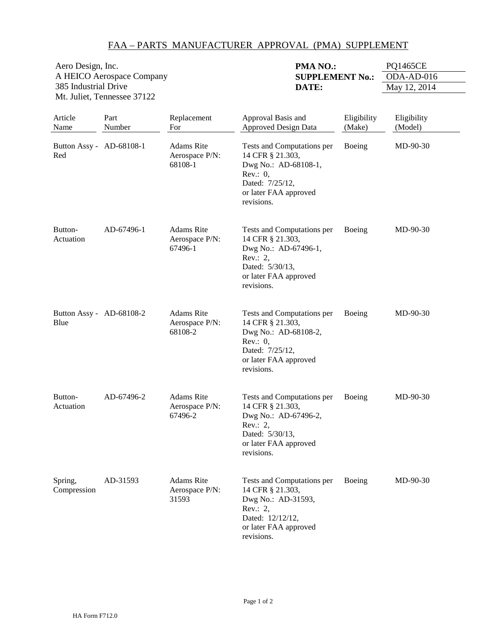| Aero Design, Inc.           | <b>PMA NO.:</b>        | PQ1465CE     |
|-----------------------------|------------------------|--------------|
| A HEICO Aerospace Company   | <b>SUPPLEMENT No.:</b> | $ODA-AD-016$ |
| 385 Industrial Drive        | DATE:                  | May 12, 2014 |
| Mt. Juliet, Tennessee 37122 |                        |              |
|                             |                        |              |

| Article<br>Name                  | Part<br>Number | Replacement<br>For                             | Approval Basis and<br><b>Approved Design Data</b>                                                                                               | Eligibility<br>(Make) | Eligibility<br>(Model) |
|----------------------------------|----------------|------------------------------------------------|-------------------------------------------------------------------------------------------------------------------------------------------------|-----------------------|------------------------|
| Button Assy - AD-68108-1<br>Red  |                | <b>Adams</b> Rite<br>Aerospace P/N:<br>68108-1 | Tests and Computations per<br>14 CFR § 21.303,<br>Dwg No.: AD-68108-1,<br>Rev.: $0$ ,<br>Dated: 7/25/12,<br>or later FAA approved<br>revisions. | Boeing                | MD-90-30               |
| Button-<br>Actuation             | AD-67496-1     | <b>Adams</b> Rite<br>Aerospace P/N:<br>67496-1 | Tests and Computations per<br>14 CFR § 21.303,<br>Dwg No.: AD-67496-1,<br>Rev.: 2,<br>Dated: 5/30/13,<br>or later FAA approved<br>revisions.    | Boeing                | MD-90-30               |
| Button Assy - AD-68108-2<br>Blue |                | Adams Rite<br>Aerospace P/N:<br>68108-2        | Tests and Computations per<br>14 CFR § 21.303,<br>Dwg No.: AD-68108-2,<br>Rev.: 0,<br>Dated: 7/25/12,<br>or later FAA approved<br>revisions.    | Boeing                | $MD-90-30$             |
| Button-<br>Actuation             | AD-67496-2     | <b>Adams Rite</b><br>Aerospace P/N:<br>67496-2 | Tests and Computations per<br>14 CFR § 21.303,<br>Dwg No.: AD-67496-2,<br>Rev.: 2,<br>Dated: 5/30/13,<br>or later FAA approved<br>revisions.    | Boeing                | MD-90-30               |
| Spring,<br>Compression           | AD-31593       | Adams Rite<br>Aerospace P/N:<br>31593          | Tests and Computations per<br>14 CFR § 21.303,<br>Dwg No.: AD-31593,<br>Rev.: 2,<br>Dated: 12/12/12,<br>or later FAA approved<br>revisions.     | Boeing                | MD-90-30               |